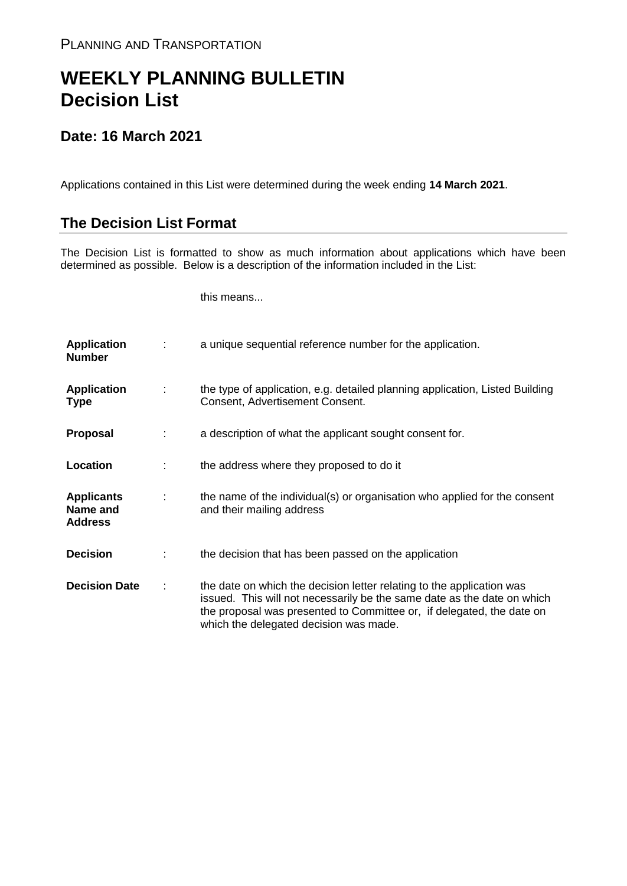## **WEEKLY PLANNING BULLETIN Decision List**

## **Date: 16 March 2021**

Applications contained in this List were determined during the week ending **14 March 2021**.

## **The Decision List Format**

The Decision List is formatted to show as much information about applications which have been determined as possible. Below is a description of the information included in the List:

this means...

| <b>Application</b><br><b>Number</b>             |   | a unique sequential reference number for the application.                                                                                                                                                                                                           |
|-------------------------------------------------|---|---------------------------------------------------------------------------------------------------------------------------------------------------------------------------------------------------------------------------------------------------------------------|
| <b>Application</b><br><b>Type</b>               | ÷ | the type of application, e.g. detailed planning application, Listed Building<br>Consent, Advertisement Consent.                                                                                                                                                     |
| Proposal                                        |   | a description of what the applicant sought consent for.                                                                                                                                                                                                             |
| Location                                        |   | the address where they proposed to do it                                                                                                                                                                                                                            |
| <b>Applicants</b><br>Name and<br><b>Address</b> | ÷ | the name of the individual(s) or organisation who applied for the consent<br>and their mailing address                                                                                                                                                              |
| <b>Decision</b>                                 |   | the decision that has been passed on the application                                                                                                                                                                                                                |
| <b>Decision Date</b>                            | ÷ | the date on which the decision letter relating to the application was<br>issued. This will not necessarily be the same date as the date on which<br>the proposal was presented to Committee or, if delegated, the date on<br>which the delegated decision was made. |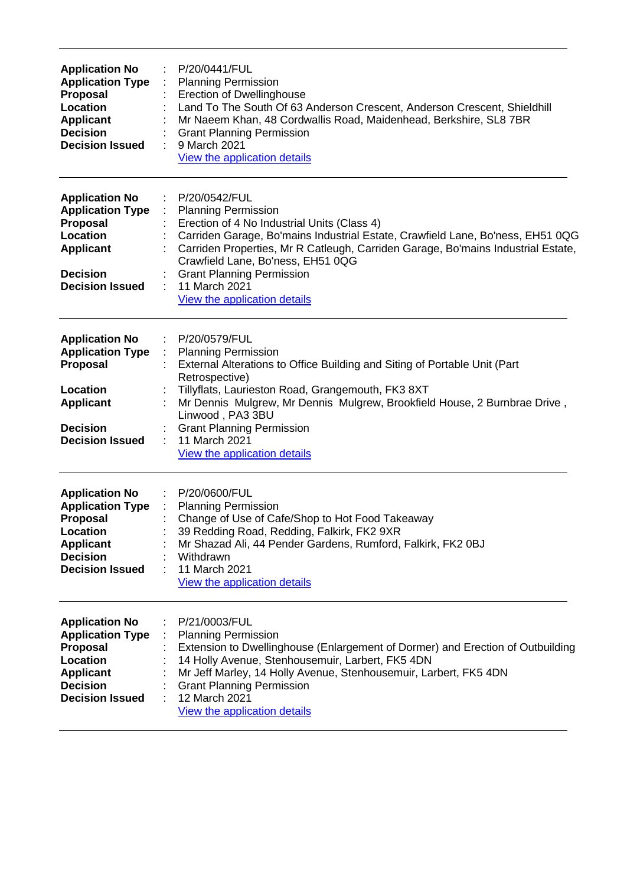| <b>Application No</b><br><b>Application Type</b><br><b>Proposal</b><br>Location<br><b>Applicant</b><br><b>Decision</b><br><b>Decision Issued</b>        | P/20/0441/FUL<br><b>Planning Permission</b><br>$\mathbb{Z}^{\mathbb{Z}}$<br><b>Erection of Dwellinghouse</b><br>Land To The South Of 63 Anderson Crescent, Anderson Crescent, Shieldhill<br>Mr Naeem Khan, 48 Cordwallis Road, Maidenhead, Berkshire, SL8 7BR<br><b>Grant Planning Permission</b><br>9 March 2021<br>÷<br>View the application details                                            |
|---------------------------------------------------------------------------------------------------------------------------------------------------------|---------------------------------------------------------------------------------------------------------------------------------------------------------------------------------------------------------------------------------------------------------------------------------------------------------------------------------------------------------------------------------------------------|
| <b>Application No</b><br><b>Application Type</b><br>Proposal<br>Location<br><b>Applicant</b><br><b>Decision</b><br><b>Decision Issued</b>               | P/20/0542/FUL<br><b>Planning Permission</b><br>Erection of 4 No Industrial Units (Class 4)<br>Carriden Garage, Bo'mains Industrial Estate, Crawfield Lane, Bo'ness, EH51 0QG<br>Carriden Properties, Mr R Catleugh, Carriden Garage, Bo'mains Industrial Estate,<br>Crawfield Lane, Bo'ness, EH51 0QG<br><b>Grant Planning Permission</b><br>11 March 2021<br><b>View the application details</b> |
| <b>Application No</b><br><b>Application Type</b><br>Proposal<br>Location<br><b>Applicant</b><br><b>Decision</b><br><b>Decision Issued</b>               | P/20/0579/FUL<br>: Planning Permission<br>External Alterations to Office Building and Siting of Portable Unit (Part<br>Retrospective)<br>Tillyflats, Laurieston Road, Grangemouth, FK3 8XT<br>Mr Dennis Mulgrew, Mr Dennis Mulgrew, Brookfield House, 2 Burnbrae Drive,<br>Linwood, PA3 3BU<br><b>Grant Planning Permission</b><br>11 March 2021<br>÷<br>View the application details             |
| <b>Application No</b><br><b>Application Type</b><br><b>Proposal</b><br><b>Location</b><br><b>Applicant</b><br><b>Decision</b><br><b>Decision Issued</b> | P/20/0600/FUL<br>÷<br><b>Planning Permission</b><br>Change of Use of Cafe/Shop to Hot Food Takeaway<br>39 Redding Road, Redding, Falkirk, FK2 9XR<br>Mr Shazad Ali, 44 Pender Gardens, Rumford, Falkirk, FK2 0BJ<br>Withdrawn<br>11 March 2021<br>View the application details                                                                                                                    |
| <b>Application No</b><br><b>Application Type</b><br><b>Proposal</b><br>Location<br><b>Applicant</b><br><b>Decision</b><br><b>Decision Issued</b>        | P/21/0003/FUL<br><b>Planning Permission</b><br>Extension to Dwellinghouse (Enlargement of Dormer) and Erection of Outbuilding<br>14 Holly Avenue, Stenhousemuir, Larbert, FK5 4DN<br>Mr Jeff Marley, 14 Holly Avenue, Stenhousemuir, Larbert, FK5 4DN<br><b>Grant Planning Permission</b><br>12 March 2021<br>View the application details                                                        |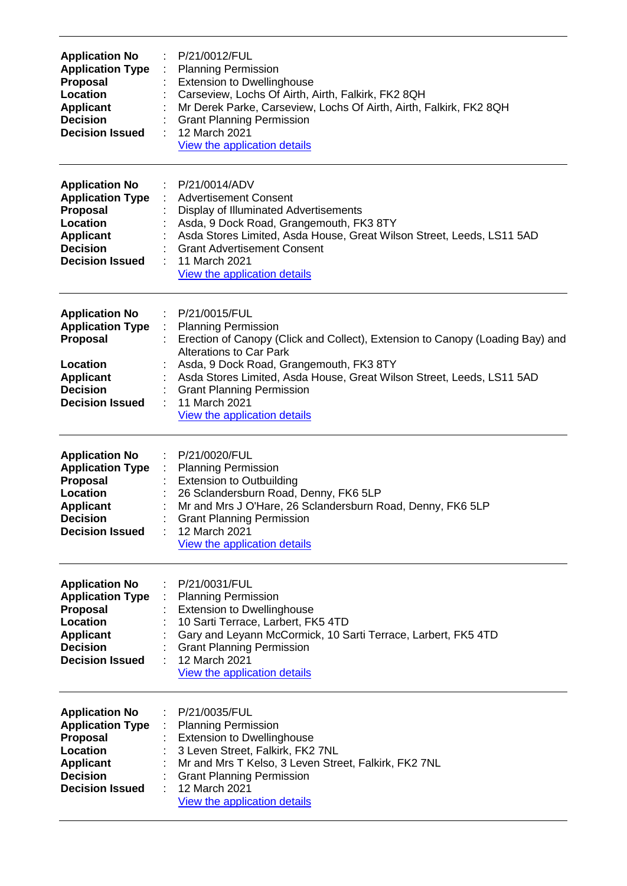| <b>Application No</b><br><b>Application Type</b><br>Proposal<br><b>Location</b><br><b>Applicant</b><br><b>Decision</b><br><b>Decision Issued</b> | P/21/0012/FUL<br><b>Planning Permission</b><br><b>Extension to Dwellinghouse</b><br>Carseview, Lochs Of Airth, Airth, Falkirk, FK2 8QH<br>Mr Derek Parke, Carseview, Lochs Of Airth, Airth, Falkirk, FK2 8QH<br><b>Grant Planning Permission</b><br>12 March 2021<br>View the application details                                                                       |
|--------------------------------------------------------------------------------------------------------------------------------------------------|-------------------------------------------------------------------------------------------------------------------------------------------------------------------------------------------------------------------------------------------------------------------------------------------------------------------------------------------------------------------------|
| <b>Application No</b><br><b>Application Type</b><br>Proposal<br>Location<br><b>Applicant</b><br><b>Decision</b><br><b>Decision Issued</b>        | P/21/0014/ADV<br><b>Advertisement Consent</b><br>Display of Illuminated Advertisements<br>Asda, 9 Dock Road, Grangemouth, FK3 8TY<br>Asda Stores Limited, Asda House, Great Wilson Street, Leeds, LS11 5AD<br><b>Grant Advertisement Consent</b><br>11 March 2021<br>View the application details                                                                       |
| <b>Application No</b><br><b>Application Type</b><br>Proposal<br>Location<br><b>Applicant</b><br><b>Decision</b><br><b>Decision Issued</b>        | P/21/0015/FUL<br><b>Planning Permission</b><br>Erection of Canopy (Click and Collect), Extension to Canopy (Loading Bay) and<br><b>Alterations to Car Park</b><br>Asda, 9 Dock Road, Grangemouth, FK3 8TY<br>Asda Stores Limited, Asda House, Great Wilson Street, Leeds, LS11 5AD<br><b>Grant Planning Permission</b><br>11 March 2021<br>View the application details |
| <b>Application No</b><br><b>Application Type</b><br><b>Proposal</b><br>Location<br><b>Applicant</b><br><b>Decision</b><br><b>Decision Issued</b> | P/21/0020/FUL<br><b>Planning Permission</b><br>÷<br><b>Extension to Outbuilding</b><br>26 Sclandersburn Road, Denny, FK6 5LP<br>Mr and Mrs J O'Hare, 26 Sclandersburn Road, Denny, FK6 5LP<br><b>Grant Planning Permission</b><br>12 March 2021<br>View the application details                                                                                         |
| <b>Application No</b><br><b>Application Type</b><br>Proposal<br>Location<br><b>Applicant</b><br><b>Decision</b><br><b>Decision Issued</b>        | P/21/0031/FUL<br><b>Planning Permission</b><br><b>Extension to Dwellinghouse</b><br>10 Sarti Terrace, Larbert, FK5 4TD<br>Gary and Leyann McCormick, 10 Sarti Terrace, Larbert, FK5 4TD<br><b>Grant Planning Permission</b><br>12 March 2021<br>View the application details                                                                                            |
| <b>Application No</b><br><b>Application Type</b><br><b>Proposal</b><br>Location<br><b>Applicant</b><br><b>Decision</b><br><b>Decision Issued</b> | P/21/0035/FUL<br><b>Planning Permission</b><br><b>Extension to Dwellinghouse</b><br>3 Leven Street, Falkirk, FK2 7NL<br>Mr and Mrs T Kelso, 3 Leven Street, Falkirk, FK2 7NL<br><b>Grant Planning Permission</b><br>12 March 2021<br>View the application details                                                                                                       |